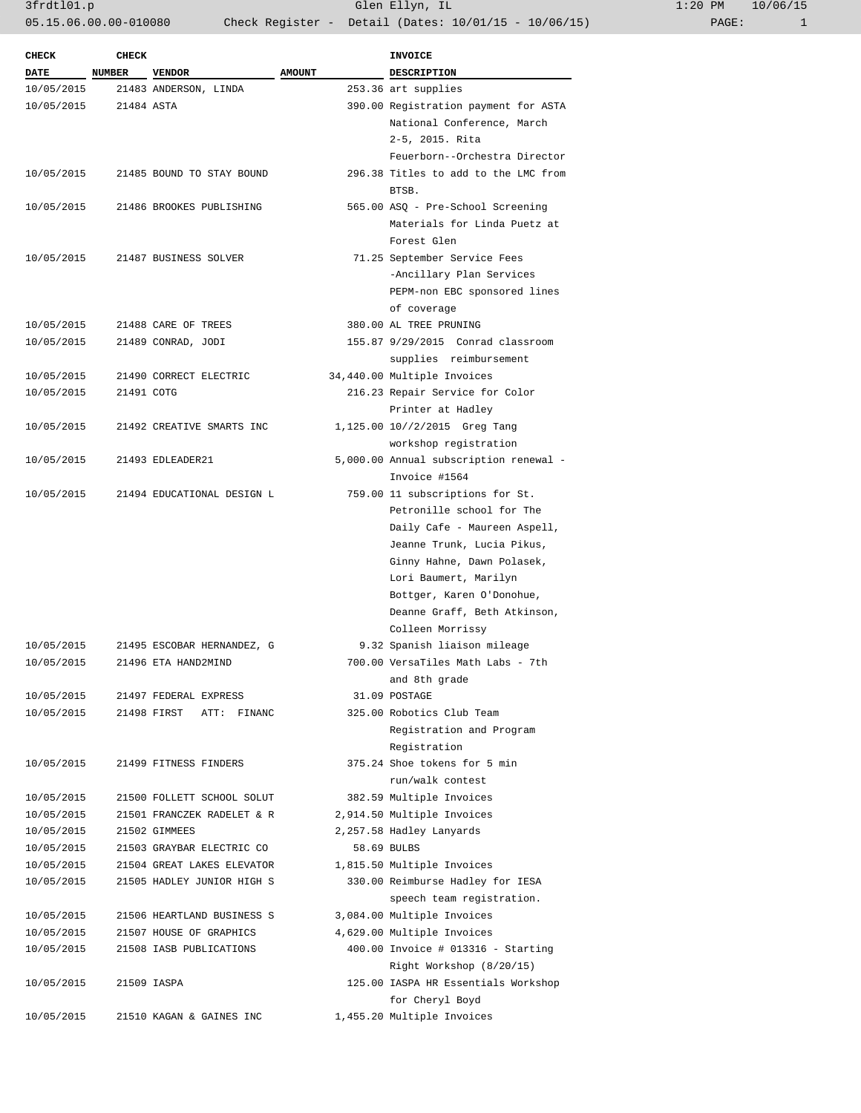| <b>CHECK</b>             | <b>CHECK</b> |                            |               | <b>INVOICE</b>                               |
|--------------------------|--------------|----------------------------|---------------|----------------------------------------------|
| DATE NUMBER              |              | <b>VENDOR</b>              | <b>AMOUNT</b> | DESCRIPTION                                  |
| 10/05/2015               |              | 21483 ANDERSON, LINDA      |               | 253.36 art supplies                          |
| 10/05/2015               | 21484 ASTA   |                            |               | 390.00 Registration payment for ASTA         |
|                          |              |                            |               | National Conference, March                   |
|                          |              |                            |               | 2-5, 2015. Rita                              |
|                          |              |                            |               | Feuerborn--Orchestra Director                |
| 10/05/2015               |              | 21485 BOUND TO STAY BOUND  |               | 296.38 Titles to add to the LMC from         |
|                          |              |                            |               | BTSB.                                        |
| 10/05/2015               |              | 21486 BROOKES PUBLISHING   |               | 565.00 ASQ - Pre-School Screening            |
|                          |              |                            |               | Materials for Linda Puetz at                 |
|                          |              |                            |               | Forest Glen                                  |
| 10/05/2015               |              | 21487 BUSINESS SOLVER      |               | 71.25 September Service Fees                 |
|                          |              |                            |               | -Ancillary Plan Services                     |
|                          |              |                            |               | PEPM-non EBC sponsored lines                 |
|                          |              |                            |               | of coverage                                  |
| 10/05/2015               |              | 21488 CARE OF TREES        |               | 380.00 AL TREE PRUNING                       |
| 10/05/2015               |              | 21489 CONRAD, JODI         |               | 155.87 9/29/2015 Conrad classroom            |
|                          |              |                            |               | supplies reimbursement                       |
| 10/05/2015               |              | 21490 CORRECT ELECTRIC     |               | 34,440.00 Multiple Invoices                  |
| 10/05/2015               | 21491 COTG   |                            |               | 216.23 Repair Service for Color              |
|                          |              |                            |               | Printer at Hadley                            |
| 10/05/2015               |              | 21492 CREATIVE SMARTS INC  |               | 1,125.00 10//2/2015 Greg Tang                |
|                          |              |                            |               | workshop registration                        |
| 10/05/2015               |              | 21493 EDLEADER21           |               | 5,000.00 Annual subscription renewal -       |
|                          |              |                            |               | Invoice #1564                                |
| 10/05/2015               |              | 21494 EDUCATIONAL DESIGN L |               | 759.00 11 subscriptions for St.              |
|                          |              |                            |               | Petronille school for The                    |
|                          |              |                            |               | Daily Cafe - Maureen Aspell,                 |
|                          |              |                            |               | Jeanne Trunk, Lucia Pikus,                   |
|                          |              |                            |               | Ginny Hahne, Dawn Polasek,                   |
|                          |              |                            |               | Lori Baumert, Marilyn                        |
|                          |              |                            |               | Bottger, Karen O'Donohue,                    |
|                          |              |                            |               | Deanne Graff, Beth Atkinson,                 |
|                          |              |                            |               | Colleen Morrissy                             |
|                          |              | 21495 ESCOBAR HERNANDEZ, G |               | 9.32 Spanish liaison mileage                 |
| 10/05/2015<br>10/05/2015 |              | 21496 ETA HAND2MIND        |               | 700.00 VersaTiles Math Labs - 7th            |
|                          |              |                            |               |                                              |
|                          |              |                            |               | and 8th grade                                |
| 10/05/2015<br>10/05/2015 |              | 21497 FEDERAL EXPRESS      |               | 31.09 POSTAGE<br>325.00 Robotics Club Team   |
|                          |              | 21498 FIRST ATT: FINANC    |               |                                              |
|                          |              |                            |               | Registration and Program                     |
|                          |              | 21499 FITNESS FINDERS      |               | Registration<br>375.24 Shoe tokens for 5 min |
| 10/05/2015               |              |                            |               | run/walk contest                             |
|                          |              |                            |               |                                              |
| 10/05/2015               |              | 21500 FOLLETT SCHOOL SOLUT |               | 382.59 Multiple Invoices                     |
| 10/05/2015               |              | 21501 FRANCZEK RADELET & R |               | 2,914.50 Multiple Invoices                   |
| 10/05/2015               |              | 21502 GIMMEES              |               | 2,257.58 Hadley Lanyards                     |
| 10/05/2015               |              | 21503 GRAYBAR ELECTRIC CO  |               | 58.69 BULBS                                  |
| 10/05/2015               |              | 21504 GREAT LAKES ELEVATOR |               | 1,815.50 Multiple Invoices                   |
| 10/05/2015               |              | 21505 HADLEY JUNIOR HIGH S |               | 330.00 Reimburse Hadley for IESA             |
|                          |              |                            |               | speech team registration.                    |
| 10/05/2015               |              | 21506 HEARTLAND BUSINESS S |               | 3,084.00 Multiple Invoices                   |
| 10/05/2015               |              | 21507 HOUSE OF GRAPHICS    |               | 4,629.00 Multiple Invoices                   |
| 10/05/2015               |              | 21508 IASB PUBLICATIONS    |               | 400.00 Invoice # 013316 - Starting           |
|                          |              |                            |               | Right Workshop (8/20/15)                     |
| 10/05/2015               |              | 21509 IASPA                |               | 125.00 IASPA HR Essentials Workshop          |
|                          |              |                            |               | for Cheryl Boyd                              |
| 10/05/2015               |              | 21510 KAGAN & GAINES INC   |               | 1,455.20 Multiple Invoices                   |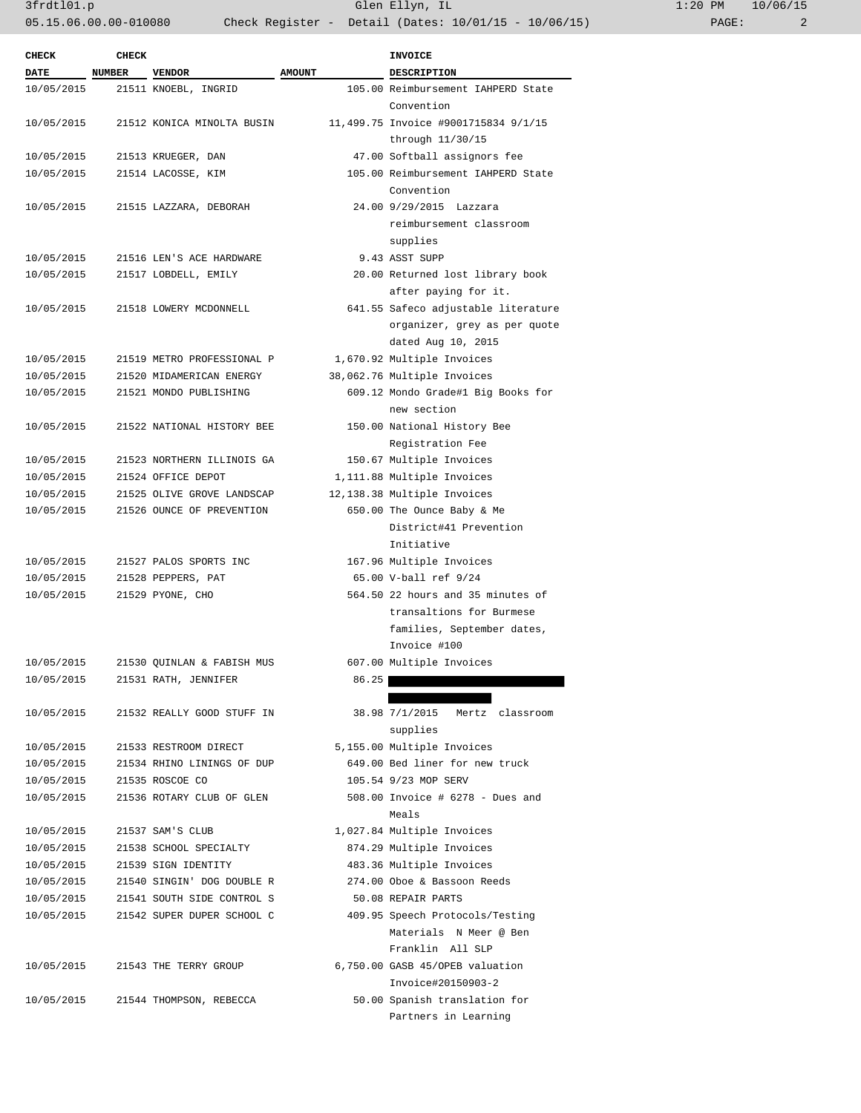3frdtl01.p Glen Ellyn, IL 1:20 PM 10/06/15 05.15.06.00.00-010080 Check Register - Detail (Dates: 10/01/15 - 10/06/15) PAGE: 2

| <b>CHECK</b> | <b>CHECK</b>  |                            |               | <b>INVOICE</b>                       |
|--------------|---------------|----------------------------|---------------|--------------------------------------|
| <b>DATE</b>  | <b>NUMBER</b> | <b>VENDOR</b>              | <b>AMOUNT</b> | <b>DESCRIPTION</b>                   |
| 10/05/2015   |               | 21511 KNOEBL, INGRID       |               | 105.00 Reimbursement IAHPERD State   |
|              |               |                            |               | Convention                           |
| 10/05/2015   |               | 21512 KONICA MINOLTA BUSIN |               | 11,499.75 Invoice #9001715834 9/1/15 |
|              |               |                            |               | through 11/30/15                     |
| 10/05/2015   |               | 21513 KRUEGER, DAN         |               | 47.00 Softball assignors fee         |
| 10/05/2015   |               | 21514 LACOSSE, KIM         |               | 105.00 Reimbursement IAHPERD State   |
|              |               |                            |               | Convention                           |
| 10/05/2015   |               | 21515 LAZZARA, DEBORAH     |               | 24.00 9/29/2015 Lazzara              |
|              |               |                            |               | reimbursement classroom              |
|              |               |                            |               | supplies                             |
| 10/05/2015   |               | 21516 LEN'S ACE HARDWARE   |               | 9.43 ASST SUPP                       |
| 10/05/2015   |               | 21517 LOBDELL, EMILY       |               | 20.00 Returned lost library book     |
|              |               |                            |               | after paying for it.                 |
| 10/05/2015   |               | 21518 LOWERY MCDONNELL     |               | 641.55 Safeco adjustable literature  |
|              |               |                            |               | organizer, grey as per quote         |
|              |               |                            |               | dated Aug 10, 2015                   |
| 10/05/2015   |               | 21519 METRO PROFESSIONAL P |               | 1,670.92 Multiple Invoices           |
| 10/05/2015   |               | 21520 MIDAMERICAN ENERGY   |               | 38,062.76 Multiple Invoices          |
|              |               |                            |               |                                      |
| 10/05/2015   |               | 21521 MONDO PUBLISHING     |               | 609.12 Mondo Grade#1 Big Books for   |
|              |               |                            |               | new section                          |
| 10/05/2015   |               | 21522 NATIONAL HISTORY BEE |               | 150.00 National History Bee          |
|              |               |                            |               | Registration Fee                     |
| 10/05/2015   |               | 21523 NORTHERN ILLINOIS GA |               | 150.67 Multiple Invoices             |
| 10/05/2015   |               | 21524 OFFICE DEPOT         |               | 1,111.88 Multiple Invoices           |
| 10/05/2015   |               | 21525 OLIVE GROVE LANDSCAP |               | 12,138.38 Multiple Invoices          |
| 10/05/2015   |               | 21526 OUNCE OF PREVENTION  |               | 650.00 The Ounce Baby & Me           |
|              |               |                            |               | District#41 Prevention               |
|              |               |                            |               | Initiative                           |
| 10/05/2015   |               | 21527 PALOS SPORTS INC     |               | 167.96 Multiple Invoices             |
| 10/05/2015   |               | 21528 PEPPERS, PAT         |               | 65.00 V-ball ref 9/24                |
| 10/05/2015   |               | 21529 PYONE, CHO           |               | 564.50 22 hours and 35 minutes of    |
|              |               |                            |               | transaltions for Burmese             |
|              |               |                            |               | families, September dates,           |
|              |               |                            |               | Invoice #100                         |
| 10/05/2015   |               | 21530 OUINLAN & FABISH MUS |               | 607.00 Multiple Invoices             |
| 10/05/2015   |               | 21531 RATH, JENNIFER       | 86.25         |                                      |
|              |               |                            |               |                                      |
|              |               |                            |               |                                      |
| 10/05/2015   |               | 21532 REALLY GOOD STUFF IN |               | 38.98 7/1/2015<br>Mertz classroom    |
|              |               |                            |               | supplies                             |
| 10/05/2015   |               | 21533 RESTROOM DIRECT      |               | 5,155.00 Multiple Invoices           |
| 10/05/2015   |               | 21534 RHINO LININGS OF DUP |               | 649.00 Bed liner for new truck       |
| 10/05/2015   |               | 21535 ROSCOE CO            |               | 105.54 9/23 MOP SERV                 |
| 10/05/2015   |               | 21536 ROTARY CLUB OF GLEN  |               | 508.00 Invoice # 6278 - Dues and     |
|              |               |                            |               | Meals                                |
| 10/05/2015   |               | 21537 SAM'S CLUB           |               | 1,027.84 Multiple Invoices           |
| 10/05/2015   |               | 21538 SCHOOL SPECIALTY     |               | 874.29 Multiple Invoices             |
| 10/05/2015   |               | 21539 SIGN IDENTITY        |               | 483.36 Multiple Invoices             |
| 10/05/2015   |               | 21540 SINGIN' DOG DOUBLE R |               | 274.00 Oboe & Bassoon Reeds          |
| 10/05/2015   |               | 21541 SOUTH SIDE CONTROL S |               | 50.08 REPAIR PARTS                   |
| 10/05/2015   |               | 21542 SUPER DUPER SCHOOL C |               | 409.95 Speech Protocols/Testing      |
|              |               |                            |               | Materials N Meer @ Ben               |
|              |               |                            |               | Franklin All SLP                     |
| 10/05/2015   |               | 21543 THE TERRY GROUP      |               | 6,750.00 GASB 45/OPEB valuation      |
|              |               |                            |               | Invoice#20150903-2                   |
|              |               |                            |               |                                      |
| 10/05/2015   |               | 21544 THOMPSON, REBECCA    |               | 50.00 Spanish translation for        |
|              |               |                            |               | Partners in Learning                 |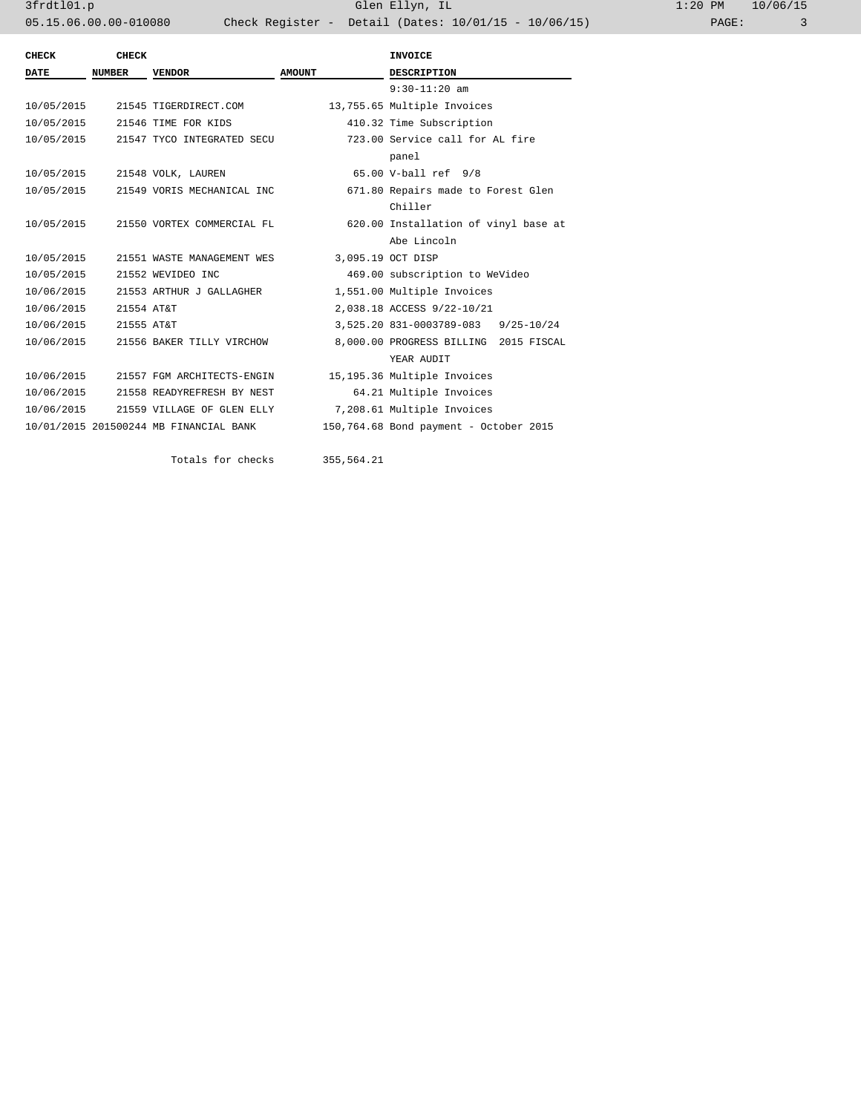3frdtl01.p Glen Ellyn, IL 1:20 PM 10/06/15 05.15.06.00.00-010080 Check Register - Detail (Dates: 10/01/15 - 10/06/15)

| <b>CHECK</b> | <b>CHECK</b>  |                                        |               | <b>INVOICE</b>                         |  |
|--------------|---------------|----------------------------------------|---------------|----------------------------------------|--|
| <b>DATE</b>  | <b>NUMBER</b> | <b>VENDOR</b>                          | <b>AMOUNT</b> | <b>DESCRIPTION</b>                     |  |
|              |               |                                        |               | $9:30-11:20$ am                        |  |
| 10/05/2015   |               | 21545 TIGERDIRECT.COM                  |               | 13,755.65 Multiple Invoices            |  |
| 10/05/2015   |               | 21546 TIME FOR KIDS                    |               | 410.32 Time Subscription               |  |
| 10/05/2015   |               | 21547 TYCO INTEGRATED SECU             |               | 723.00 Service call for AL fire        |  |
|              |               |                                        |               | panel                                  |  |
| 10/05/2015   |               | 21548 VOLK, LAUREN                     |               | 65.00 V-ball ref 9/8                   |  |
| 10/05/2015   |               | 21549 VORIS MECHANICAL INC             |               | 671.80 Repairs made to Forest Glen     |  |
|              |               |                                        |               | Chiller                                |  |
| 10/05/2015   |               | 21550 VORTEX COMMERCIAL FL             |               | 620.00 Installation of vinyl base at   |  |
|              |               |                                        |               | Abe Lincoln                            |  |
| 10/05/2015   |               | 21551 WASTE MANAGEMENT WES             |               | 3,095.19 OCT DISP                      |  |
| 10/05/2015   |               | 21552 WEVIDEO INC                      |               | 469.00 subscription to WeVideo         |  |
| 10/06/2015   |               | 21553 ARTHUR J GALLAGHER               |               | 1,551.00 Multiple Invoices             |  |
| 10/06/2015   | 21554 AT&T    |                                        |               | 2,038.18 ACCESS 9/22-10/21             |  |
| 10/06/2015   | 21555 AT&T    |                                        |               | 3,525.20 831-0003789-083 9/25-10/24    |  |
| 10/06/2015   |               | 21556 BAKER TILLY VIRCHOW              |               | 8,000.00 PROGRESS BILLING 2015 FISCAL  |  |
|              |               |                                        |               | YEAR AUDIT                             |  |
| 10/06/2015   |               | 21557 FGM ARCHITECTS-ENGIN             |               | 15,195.36 Multiple Invoices            |  |
| 10/06/2015   |               | 21558 READYREFRESH BY NEST             |               | 64.21 Multiple Invoices                |  |
| 10/06/2015   |               | 21559 VILLAGE OF GLEN ELLY             |               | 7,208.61 Multiple Invoices             |  |
|              |               | 10/01/2015 201500244 MB FINANCIAL BANK |               | 150,764.68 Bond payment - October 2015 |  |
|              |               |                                        |               |                                        |  |

Totals for checks 355,564.21